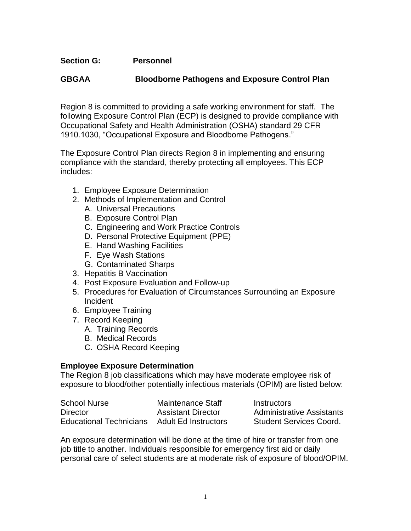# **Section G: Personnel**

# **GBGAA Bloodborne Pathogens and Exposure Control Plan**

Region 8 is committed to providing a safe working environment for staff. The following Exposure Control Plan (ECP) is designed to provide compliance with Occupational Safety and Health Administration (OSHA) standard 29 CFR 1910.1030, "Occupational Exposure and Bloodborne Pathogens."

The Exposure Control Plan directs Region 8 in implementing and ensuring compliance with the standard, thereby protecting all employees. This ECP includes:

- 1. Employee Exposure Determination
- 2. Methods of Implementation and Control
	- A. Universal Precautions
	- B. Exposure Control Plan
	- C. Engineering and Work Practice Controls
	- D. Personal Protective Equipment (PPE)
	- E. Hand Washing Facilities
	- F. Eye Wash Stations
	- G. Contaminated Sharps
- 3. Hepatitis B Vaccination
- 4. Post Exposure Evaluation and Follow-up
- 5. Procedures for Evaluation of Circumstances Surrounding an Exposure Incident
- 6. Employee Training
- 7. Record Keeping
	- A. Training Records
	- B. Medical Records
	- C. OSHA Record Keeping

#### **Employee Exposure Determination**

The Region 8 job classifications which may have moderate employee risk of exposure to blood/other potentially infectious materials (OPIM) are listed below:

| <b>School Nurse</b>            | Maintenance Staff         | Instructors                      |
|--------------------------------|---------------------------|----------------------------------|
| <b>Director</b>                | <b>Assistant Director</b> | <b>Administrative Assistants</b> |
| <b>Educational Technicians</b> | Adult Ed Instructors      | <b>Student Services Coord.</b>   |

An exposure determination will be done at the time of hire or transfer from one job title to another. Individuals responsible for emergency first aid or daily personal care of select students are at moderate risk of exposure of blood/OPIM.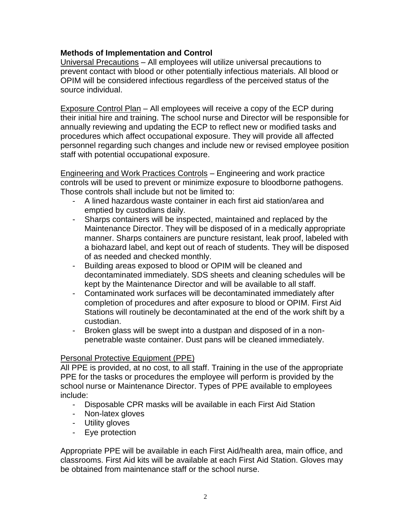# **Methods of Implementation and Control**

Universal Precautions – All employees will utilize universal precautions to prevent contact with blood or other potentially infectious materials. All blood or OPIM will be considered infectious regardless of the perceived status of the source individual.

Exposure Control Plan – All employees will receive a copy of the ECP during their initial hire and training. The school nurse and Director will be responsible for annually reviewing and updating the ECP to reflect new or modified tasks and procedures which affect occupational exposure. They will provide all affected personnel regarding such changes and include new or revised employee position staff with potential occupational exposure.

Engineering and Work Practices Controls – Engineering and work practice controls will be used to prevent or minimize exposure to bloodborne pathogens. Those controls shall include but not be limited to:

- A lined hazardous waste container in each first aid station/area and emptied by custodians daily.
- Sharps containers will be inspected, maintained and replaced by the Maintenance Director. They will be disposed of in a medically appropriate manner. Sharps containers are puncture resistant, leak proof, labeled with a biohazard label, and kept out of reach of students. They will be disposed of as needed and checked monthly.
- Building areas exposed to blood or OPIM will be cleaned and decontaminated immediately. SDS sheets and cleaning schedules will be kept by the Maintenance Director and will be available to all staff.
- Contaminated work surfaces will be decontaminated immediately after completion of procedures and after exposure to blood or OPIM. First Aid Stations will routinely be decontaminated at the end of the work shift by a custodian.
- Broken glass will be swept into a dustpan and disposed of in a nonpenetrable waste container. Dust pans will be cleaned immediately.

### Personal Protective Equipment (PPE)

All PPE is provided, at no cost, to all staff. Training in the use of the appropriate PPE for the tasks or procedures the employee will perform is provided by the school nurse or Maintenance Director. Types of PPE available to employees include:

- Disposable CPR masks will be available in each First Aid Station
- Non-latex gloves
- Utility gloves
- Eye protection

Appropriate PPE will be available in each First Aid/health area, main office, and classrooms. First Aid kits will be available at each First Aid Station. Gloves may be obtained from maintenance staff or the school nurse.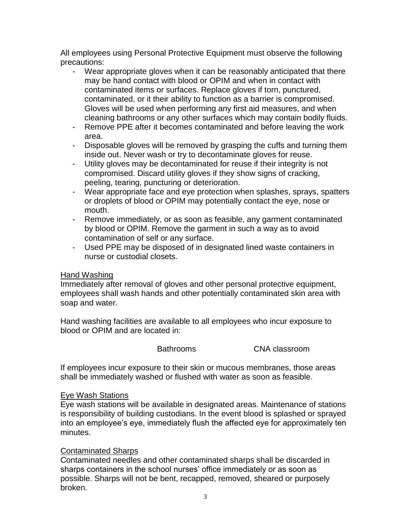All employees using Personal Protective Equipment must observe the following precautions:

- Wear appropriate gloves when it can be reasonably anticipated that there may be hand contact with blood or OPIM and when in contact with contaminated items or surfaces. Replace gloves if torn, punctured, contaminated, or it their ability to function as a barrier is compromised. Gloves will be used when performing any first aid measures, and when cleaning bathrooms or any other surfaces which may contain bodily fluids.
- Remove PPE after it becomes contaminated and before leaving the work area.
- Disposable gloves will be removed by grasping the cuffs and turning them inside out. Never wash or try to decontaminate gloves for reuse.
- Utility gloves may be decontaminated for reuse if their integrity is not compromised. Discard utility gloves if they show signs of cracking, peeling, tearing, puncturing or deterioration.
- Wear appropriate face and eye protection when splashes, sprays, spatters or droplets of blood or OPIM may potentially contact the eye, nose or mouth.
- Remove immediately, or as soon as feasible, any garment contaminated by blood or OPIM. Remove the garment in such a way as to avoid contamination of self or any surface.
- Used PPE may be disposed of in designated lined waste containers in nurse or custodial closets.

### Hand Washing

Immediately after removal of gloves and other personal protective equipment, employees shall wash hands and other potentially contaminated skin area with soap and water.

Hand washing facilities are available to all employees who incur exposure to blood or OPIM and are located in:

Bathrooms CNA classroom

If employees incur exposure to their skin or mucous membranes, those areas shall be immediately washed or flushed with water as soon as feasible.

### Eye Wash Stations

Eye wash stations will be available in designated areas. Maintenance of stations is responsibility of building custodians. In the event blood is splashed or sprayed into an employee's eye, immediately flush the affected eye for approximately ten minutes.

# Contaminated Sharps

Contaminated needles and other contaminated sharps shall be discarded in sharps containers in the school nurses' office immediately or as soon as possible. Sharps will not be bent, recapped, removed, sheared or purposely broken.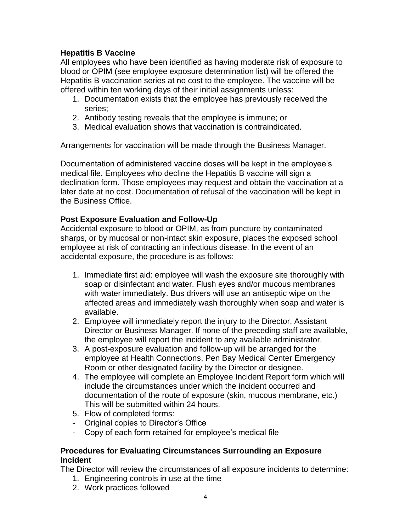# **Hepatitis B Vaccine**

All employees who have been identified as having moderate risk of exposure to blood or OPIM (see employee exposure determination list) will be offered the Hepatitis B vaccination series at no cost to the employee. The vaccine will be offered within ten working days of their initial assignments unless:

- 1. Documentation exists that the employee has previously received the series;
- 2. Antibody testing reveals that the employee is immune; or
- 3. Medical evaluation shows that vaccination is contraindicated.

Arrangements for vaccination will be made through the Business Manager.

Documentation of administered vaccine doses will be kept in the employee's medical file. Employees who decline the Hepatitis B vaccine will sign a declination form. Those employees may request and obtain the vaccination at a later date at no cost. Documentation of refusal of the vaccination will be kept in the Business Office.

### **Post Exposure Evaluation and Follow-Up**

Accidental exposure to blood or OPIM, as from puncture by contaminated sharps, or by mucosal or non-intact skin exposure, places the exposed school employee at risk of contracting an infectious disease. In the event of an accidental exposure, the procedure is as follows:

- 1. Immediate first aid: employee will wash the exposure site thoroughly with soap or disinfectant and water. Flush eyes and/or mucous membranes with water immediately. Bus drivers will use an antiseptic wipe on the affected areas and immediately wash thoroughly when soap and water is available.
- 2. Employee will immediately report the injury to the Director, Assistant Director or Business Manager. If none of the preceding staff are available, the employee will report the incident to any available administrator.
- 3. A post-exposure evaluation and follow-up will be arranged for the employee at Health Connections, Pen Bay Medical Center Emergency Room or other designated facility by the Director or designee.
- 4. The employee will complete an Employee Incident Report form which will include the circumstances under which the incident occurred and documentation of the route of exposure (skin, mucous membrane, etc.) This will be submitted within 24 hours.
- 5. Flow of completed forms:
- Original copies to Director's Office
- Copy of each form retained for employee's medical file

### **Procedures for Evaluating Circumstances Surrounding an Exposure Incident**

The Director will review the circumstances of all exposure incidents to determine:

- 1. Engineering controls in use at the time
- 2. Work practices followed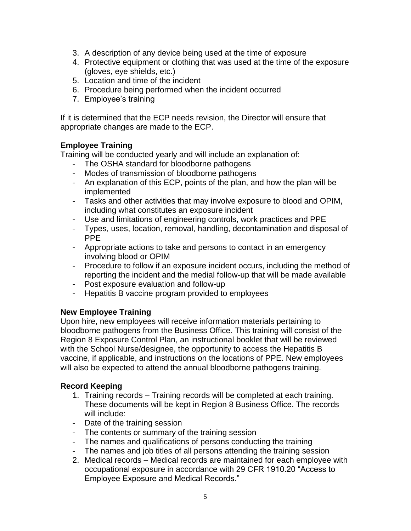- 3. A description of any device being used at the time of exposure
- 4. Protective equipment or clothing that was used at the time of the exposure (gloves, eye shields, etc.)
- 5. Location and time of the incident
- 6. Procedure being performed when the incident occurred
- 7. Employee's training

If it is determined that the ECP needs revision, the Director will ensure that appropriate changes are made to the ECP.

# **Employee Training**

Training will be conducted yearly and will include an explanation of:

- The OSHA standard for bloodborne pathogens
- Modes of transmission of bloodborne pathogens
- An explanation of this ECP, points of the plan, and how the plan will be implemented
- Tasks and other activities that may involve exposure to blood and OPIM, including what constitutes an exposure incident
- Use and limitations of engineering controls, work practices and PPE
- Types, uses, location, removal, handling, decontamination and disposal of PPE
- Appropriate actions to take and persons to contact in an emergency involving blood or OPIM
- Procedure to follow if an exposure incident occurs, including the method of reporting the incident and the medial follow-up that will be made available
- Post exposure evaluation and follow-up
- Hepatitis B vaccine program provided to employees

# **New Employee Training**

Upon hire, new employees will receive information materials pertaining to bloodborne pathogens from the Business Office. This training will consist of the Region 8 Exposure Control Plan, an instructional booklet that will be reviewed with the School Nurse/designee, the opportunity to access the Hepatitis B vaccine, if applicable, and instructions on the locations of PPE. New employees will also be expected to attend the annual bloodborne pathogens training.

# **Record Keeping**

- 1. Training records Training records will be completed at each training. These documents will be kept in Region 8 Business Office. The records will include:
- Date of the training session
- The contents or summary of the training session
- The names and qualifications of persons conducting the training
- The names and job titles of all persons attending the training session
- 2. Medical records Medical records are maintained for each employee with occupational exposure in accordance with 29 CFR 1910.20 "Access to Employee Exposure and Medical Records."